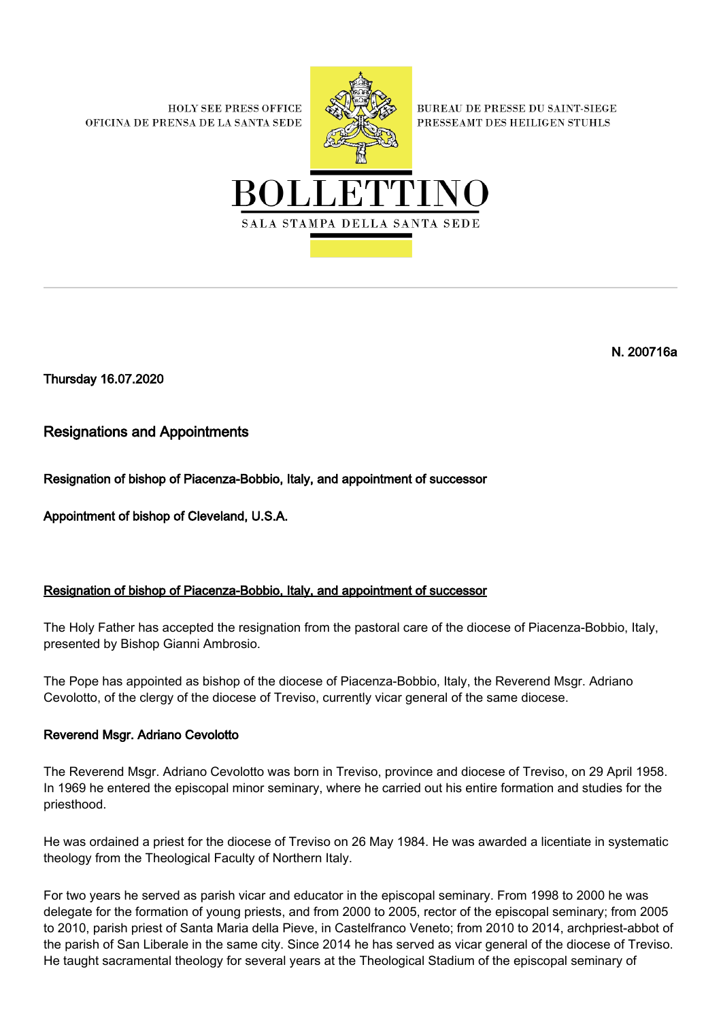**HOLY SEE PRESS OFFICE** OFICINA DE PRENSA DE LA SANTA SEDE



**BUREAU DE PRESSE DU SAINT-SIEGE** PRESSEAMT DES HEILIGEN STUHLS



N. 200716a

Thursday 16.07.2020

Resignations and Appointments

Resignation of bishop of Piacenza-Bobbio, Italy, and appointment of successor

Appointment of bishop of Cleveland, U.S.A.

## Resignation of bishop of Piacenza-Bobbio, Italy, and appointment of successor

The Holy Father has accepted the resignation from the pastoral care of the diocese of Piacenza-Bobbio, Italy, presented by Bishop Gianni Ambrosio.

The Pope has appointed as bishop of the diocese of Piacenza-Bobbio, Italy, the Reverend Msgr. Adriano Cevolotto, of the clergy of the diocese of Treviso, currently vicar general of the same diocese.

## Reverend Msgr. Adriano Cevolotto

The Reverend Msgr. Adriano Cevolotto was born in Treviso, province and diocese of Treviso, on 29 April 1958. In 1969 he entered the episcopal minor seminary, where he carried out his entire formation and studies for the priesthood.

He was ordained a priest for the diocese of Treviso on 26 May 1984. He was awarded a licentiate in systematic theology from the Theological Faculty of Northern Italy.

For two years he served as parish vicar and educator in the episcopal seminary. From 1998 to 2000 he was delegate for the formation of young priests, and from 2000 to 2005, rector of the episcopal seminary; from 2005 to 2010, parish priest of Santa Maria della Pieve, in Castelfranco Veneto; from 2010 to 2014, archpriest-abbot of the parish of San Liberale in the same city. Since 2014 he has served as vicar general of the diocese of Treviso. He taught sacramental theology for several years at the Theological Stadium of the episcopal seminary of